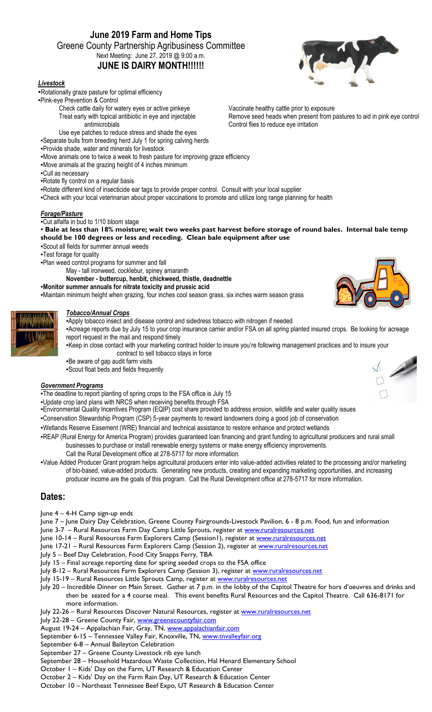# **June 2019 Farm and Home Tips** Greene County Partnership Agribusiness Committee Next Meeting: June 27, 2019 @ 9:00 a.m. **JUNE IS DAIRY MONTH!!!!!!**

### *Livestock*

- ▪Rotationally graze pasture for optimal efficiency
- ▪Pink-eye Prevention & Control
	- Check cattle daily for watery eyes or active pinkeye Treat early with topical antibiotic in eye and injectable antimicrobials
	- Use eye patches to reduce stress and shade the eyes
- ▪Separate bulls from breeding herd July 1 for spring calving herds
- ▪Provide shade, water and minerals for livestock
- ▪Move animals one to twice a week to fresh pasture for improving graze efficiency
- ▪Move animals at the grazing height of 4 inches minimum
- ▪Cull as necessary
- ▪Rotate fly control on a regular basis
- ▪Rotate different kind of insecticide ear tags to provide proper control. Consult with your local supplier
- ▪Check with your local veterinarian about proper vaccinations to promote and utilize long range planning for health

#### *Forage/Pasture*

▪Cut alfalfa in bud to 1/10 bloom stage

▪ **Bale at less than 18% moisture; wait two weeks past harvest before storage of round bales. Internal bale temp should be 100 degrees or less and receding. Clean bale equipment after use**

- ▪Scout all fields for summer annual weeds
- **-Test forage for quality**
- ▪Plan weed control programs for summer and fall
	- May tall ironweed, cocklebur, spiney amaranth
		- **November - buttercup, henbit, chickweed, thistle, deadnettle**
- ▪**Monitor summer annuals for nitrate toxicity and prussic acid**
- ▪Maintain minimum height when grazing, four inches cool season grass, six inches warm season grass

### *Tobacco/Annual Crops*



#### ▪Apply tobacco insect and disease control and sidedress tobacco with nitrogen if needed ▪Acreage reports due by July 15 to your crop insurance carrier and/or FSA on all spring planted insured crops. Be looking for acreage report request in the mail and respond timely

▪Keep in close contact with your marketing contract holder to insure you're following management practices and to insure your contract to sell tobacco stays in force

▪Be aware of gap audit farm visits

▪Scout float beds and fields frequently

#### *Government Programs*

. The deadline to report planting of spring crops to the FSA office is July 15

- ▪Update crop land plans with NRCS when receiving benefits through FSA
- ▪Environmental Quality Incentives Program (EQIP) cost share provided to address erosion, wildlife and water quality issues
- ▪Conservation Stewardship Program (CSP) 5-year payments to reward landowners doing a good job of conservation
- ▪Wetlands Reserve Easement (WRE) financial and technical assistance to restore enhance and protect wetlands
- ▪REAP (Rural Energy for America Program) provides guaranteed loan financing and grant funding to agricultural producers and rural small businesses to purchase or install renewable energy systems or make energy efficiency improvements.
	- Call the Rural Development office at 278-5717 for more information.
- ▪Value Added Producer Grant program helps agricultural producers enter into value-added activities related to the processing and/or marketing of bio-based, value-added products. Generating new products, creating and expanding marketing opportunities, and increasing producer income are the goals of this program. Call the Rural Development office at 278-5717 for more information.

## **Dates:**

- June 4 4-H Camp sign-up ends
- June 7 June Dairy Day Celebration, Greene County Fairgrounds-Livestock Pavilion, 6 8 p.m. Food, fun and information
- June 3-7 Rural Resources Farm Day Camp Little Sprouts, register at [www.ruralresources.net](http://www.ruralresources.net/)
- June 10-14 Rural Resources Farm Explorers Camp (Session1), register at [www.ruralresources.net](http://www.ruralresources.net/)
- June 17-21 Rural Resources Farm Explorers Camp (Session 2), register at [www.ruralresources.net](http://www.ruralresources.net/)
- July 5 Beef Day Celebration, Food City Snapps Ferry, TBA
- July 15 Final acreage reporting date for spring seeded crops to the FSA office
- July 8-12 Rural Resources Farm Explorers Camp (Session 3), register at [www.ruralresources.net](http://www.ruralresources.net/)
- July 15-19 Rural Resources Little Sprouts Camp, register at [www.ruralresources.net](http://www.ruralresources.net/)
- July 20 Incredible Dinner on Main Street. Gather at 7 p.m. in the lobby of the Capitol Theatre for hors d'oeuvres and drinks and then be seated for a 4 course meal. This event benefits Rural Resources and the Capitol Theatre. Call 636-8171 for more information.
- July 22-26 Rural Resources Discover Natural Resources, register at [www.ruralresources.net](http://www.ruralresources.net/)
- July 22-28 Greene County Fair, [www.greenecountyfair.com](http://www.greenecountyfair.com/)
- August 19-24 Appalachian Fair, Gray, TN, [www.appalachianfair.com](http://www.appalachianfair.com/)
- September 6-15 Tennessee Valley Fair, Knoxville, TN, [www.tnvalleyfair.org](http://www.tnvalleyfair.org/)
- September 6-8 Annual Baileyton Celebration
- September 27 Greene County Livestock rib eye lunch
- September 28 Household Hazardous Waste Collection, Hal Henard Elementary School
- October 1 Kids' Day on the Farm, UT Research & Education Center
- October 2 Kids' Day on the Farm Rain Day, UT Research & Education Center
- October 10 Northeast Tennessee Beef Expo, UT Research & Education Center



Vaccinate healthy cattle prior to exposure Remove seed heads when present from pastures to aid in pink eye control Control flies to reduce eye irritation